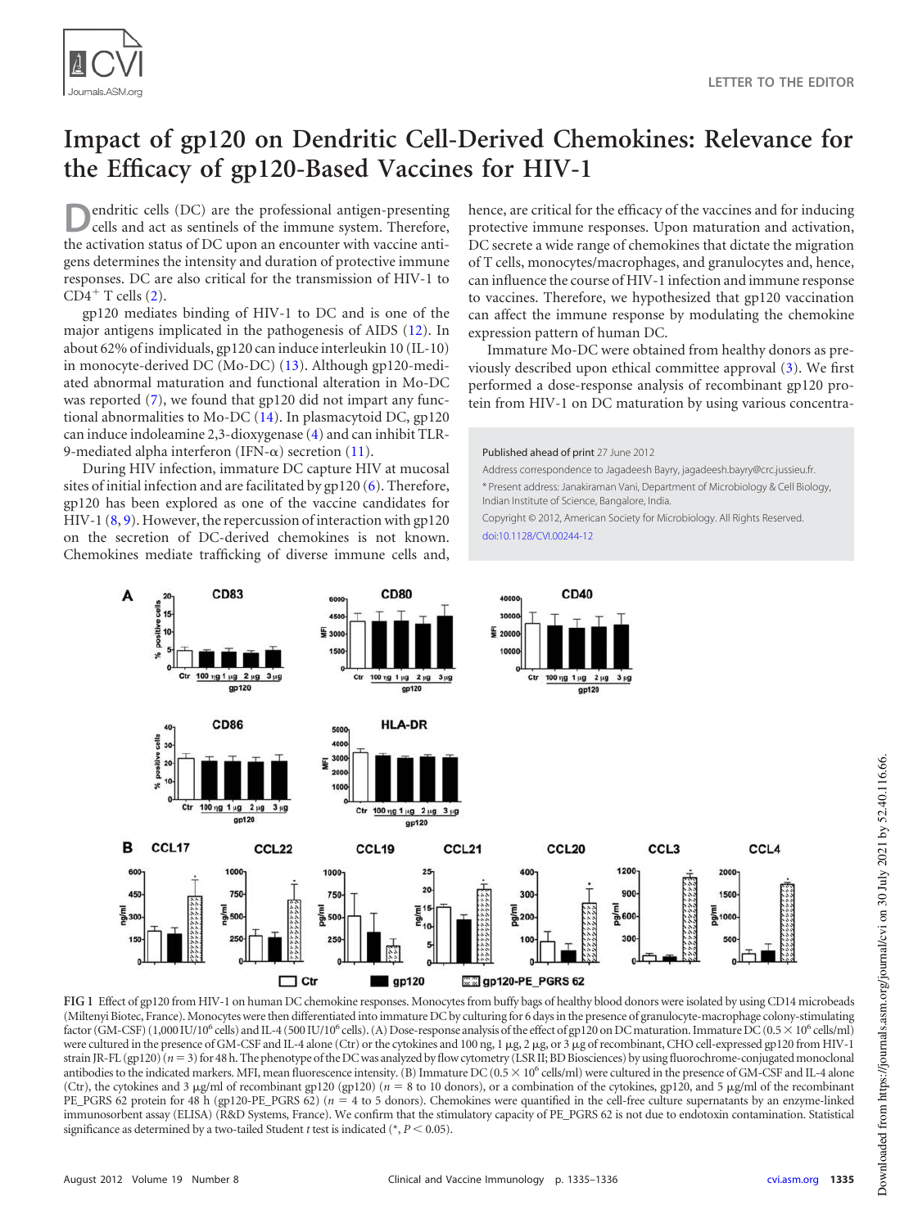

# **Impact of gp120 on Dendritic Cell-Derived Chemokines: Relevance for the Efficacy of gp120-Based Vaccines for HIV-1**

**D** endritic cells (DC) are the professional antigen-presenting cells and act as sentinels of the immune system. Therefore, the activation status of DC upon an encounter with vaccine antiendritic cells (DC) are the professional antigen-presenting cells and act as sentinels of the immune system. Therefore, gens determines the intensity and duration of protective immune responses. DC are also critical for the transmission of HIV-1 to  $CD4^+$  T cells  $(2)$ .

gp120 mediates binding of HIV-1 to DC and is one of the major antigens implicated in the pathogenesis of AIDS [\(12\)](#page-1-1). In about 62% of individuals, gp120 can induce interleukin 10 (IL-10) in monocyte-derived DC (Mo-DC) [\(13\)](#page-1-2). Although gp120-mediated abnormal maturation and functional alteration in Mo-DC was reported [\(7\)](#page-1-3), we found that gp120 did not impart any functional abnormalities to Mo-DC [\(14\)](#page-1-4). In plasmacytoid DC, gp120 can induce indoleamine 2,3-dioxygenase [\(4\)](#page-1-5) and can inhibit TLR-9-mediated alpha interferon (IFN- $\alpha$ ) secretion [\(11\)](#page-1-6).

During HIV infection, immature DC capture HIV at mucosal sites of initial infection and are facilitated by gp120 [\(6\)](#page-1-7). Therefore, gp120 has been explored as one of the vaccine candidates for HIV-1 [\(8,](#page-1-8) [9\)](#page-1-9). However, the repercussion of interaction with gp120 on the secretion of DC-derived chemokines is not known. Chemokines mediate trafficking of diverse immune cells and, hence, are critical for the efficacy of the vaccines and for inducing protective immune responses. Upon maturation and activation, DC secrete a wide range of chemokines that dictate the migration of T cells, monocytes/macrophages, and granulocytes and, hence, can influence the course of HIV-1 infection and immune response to vaccines. Therefore, we hypothesized that gp120 vaccination can affect the immune response by modulating the chemokine expression pattern of human DC.

Immature Mo-DC were obtained from healthy donors as previously described upon ethical committee approval [\(3\)](#page-1-10). We first performed a dose-response analysis of recombinant gp120 protein from HIV-1 on DC maturation by using various concentra-

Published ahead of print 27 June 2012

Address correspondence to Jagadeesh Bayry, jagadeesh.bayry@crc.jussieu.fr. \* Present address: Janakiraman Vani, Department of Microbiology & Cell Biology, Indian Institute of Science, Bangalore, India.

Copyright © 2012, American Society for Microbiology. All Rights Reserved. doi:10.1128/CVI.00244-12



<span id="page-0-0"></span>**FIG 1** Effect of gp120 from HIV-1 on human DC chemokine responses. Monocytes from buffy bags of healthy blood donors were isolated by using CD14 microbeads (Miltenyi Biotec, France). Monocytes were then differentiated into immature DC by culturing for 6 days in the presence of granulocyte-macrophage colony-stimulating factor (GM-CSF) (1,000 IU/10<sup>6</sup> cells) and IL-4 (500 IU/10<sup>6</sup> cells). (A) Dose-response analysis of the effect of gp120 on DC maturation. Immature DC (0.5 × 10<sup>6</sup> cells/ml) were cultured in the presence of GM-CSF and IL-4 alone (Ctr) or the cytokines and 100 ng, 1 µg, 2 µg, or 3 µg of recombinant, CHO cell-expressed gp120 from HIV-1 strain JR-FL (gp120)  $(n=3)$  for 48 h. The phenotype of the DC was analyzed by flow cytometry (LSR II; BD Biosciences) by using fluorochrome-conjugated monoclonal antibodies to the indicated markers. MFI, mean fluorescence intensity. (B) Immature DC (0.5  $\times$  10<sup>6</sup> cells/ml) were cultured in the presence of GM-CSF and IL-4 alone (Ctr), the cytokines and 3  $\mu$ g/ml of recombinant gp120 (gp120) ( $n = 8$  to 10 donors), or a combination of the cytokines, gp120, and 5  $\mu$ g/ml of the recombinant PE\_PGRS 62 protein for 48 h (gp120-PE\_PGRS 62) ( $n = 4$  to 5 donors). Chemokines were quantified in the cell-free culture supernatants by an enzyme-linked immunosorbent assay (ELISA) (R&D Systems, France). We confirm that the stimulatory capacity of PE\_PGRS 62 is not due to endotoxin contamination. Statistical significance as determined by a two-tailed Student *t* test is indicated ( $P < 0.05$ ).